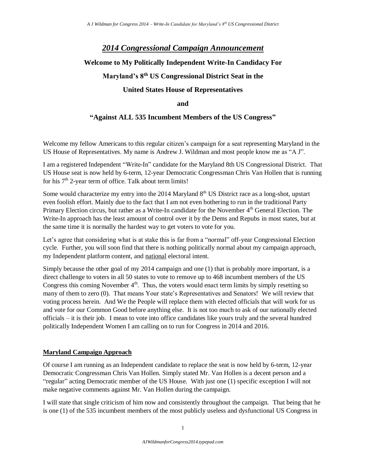# *2014 Congressional Campaign Announcement*

# **Welcome to My Politically Independent Write-In Candidacy For**

# **Maryland's 8th US Congressional District Seat in the**

## **United States House of Representatives**

### **and**

## **"Against ALL 535 Incumbent Members of the US Congress"**

Welcome my fellow Americans to this regular citizen's campaign for a seat representing Maryland in the US House of Representatives. My name is Andrew J. Wildman and most people know me as "A J".

I am a registered Independent "Write-In" candidate for the Maryland 8th US Congressional District. That US House seat is now held by 6-term, 12-year Democratic Congressman Chris Van Hollen that is running for his  $7<sup>th</sup>$  2-year term of office. Talk about term limits!

Some would characterize my entry into the 2014 Maryland  $8<sup>th</sup>$  US District race as a long-shot, upstart even foolish effort. Mainly due to the fact that I am not even bothering to run in the traditional Party Primary Election circus, but rather as a Write-In candidate for the November 4<sup>th</sup> General Election. The Write-In approach has the least amount of control over it by the Dems and Repubs in most states, but at the same time it is normally the hardest way to get voters to vote for you.

Let's agree that considering what is at stake this is far from a "normal" off-year Congressional Election cycle. Further, you will soon find that there is nothing politically normal about my campaign approach, my Independent platform content, and national electoral intent.

Simply because the other goal of my 2014 campaign and one (1) that is probably more important, is a direct challenge to voters in all 50 states to vote to remove up to 468 incumbent members of the US Congress this coming November  $4<sup>th</sup>$ . Thus, the voters would enact term limits by simply resetting so many of them to zero (0). That means Your state's Representatives and Senators! We will review that voting process herein. And We the People will replace them with elected officials that will work for us and vote for our Common Good before anything else. It is not too much to ask of our nationally elected officials – it is their job. I mean to vote into office candidates like yours truly and the several hundred politically Independent Women I am calling on to run for Congress in 2014 and 2016.

## **Maryland Campaign Approach**

Of course I am running as an Independent candidate to replace the seat is now held by 6-term, 12-year Democratic Congressman Chris Van Hollen. Simply stated Mr. Van Hollen is a decent person and a "regular" acting Democratic member of the US House. With just one (1) specific exception I will not make negative comments against Mr. Van Hollen during the campaign.

I will state that single criticism of him now and consistently throughout the campaign. That being that he is one (1) of the 535 incumbent members of the most publicly useless and dysfunctional US Congress in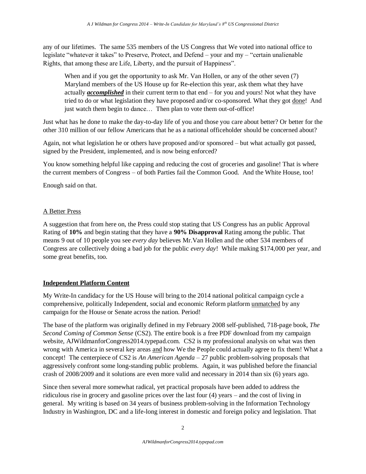any of our lifetimes. The same 535 members of the US Congress that We voted into national office to legislate "whatever it takes" to Preserve, Protect, and Defend – your and my – "certain unalienable Rights, that among these are Life, Liberty, and the pursuit of Happiness".

When and if you get the opportunity to ask Mr. Van Hollen, or any of the other seven (7) Maryland members of the US House up for Re-election this year, ask them what they have actually *accomplished* in their current term to that end – for you and yours! Not what they have tried to do or what legislation they have proposed and/or co-sponsored. What they got done! And just watch them begin to dance... Then plan to vote them out-of-office!

Just what has he done to make the day-to-day life of you and those you care about better? Or better for the other 310 million of our fellow Americans that he as a national officeholder should be concerned about?

Again, not what legislation he or others have proposed and/or sponsored – but what actually got passed, signed by the President, implemented, and is now being enforced?

You know something helpful like capping and reducing the cost of groceries and gasoline! That is where the current members of Congress – of both Parties fail the Common Good. And the White House, too!

Enough said on that.

## A Better Press

A suggestion that from here on, the Press could stop stating that US Congress has an public Approval Rating of **10%** and begin stating that they have a **90% Disapproval** Rating among the public. That means 9 out of 10 people you see *every day* believes Mr.Van Hollen and the other 534 members of Congress are collectively doing a bad job for the public *every day*! While making \$174,000 per year, and some great benefits, too.

## **Independent Platform Content**

My Write-In candidacy for the US House will bring to the 2014 national political campaign cycle a comprehensive, politically Independent, social and economic Reform platform unmatched by any campaign for the House or Senate across the nation. Period!

The base of the platform was originally defined in my February 2008 self-published, 718-page book, *The Second Coming of Common Sense* (CS2). The entire book is a free PDF download from my campaign website, AJWildmanforCongress2014.typepad.com. CS2 is my professional analysis on what was then wrong with America in several key areas and how We the People could actually agree to fix them! What a concept! The centerpiece of CS2 is *An American Agenda* – 27 public problem-solving proposals that aggressively confront some long-standing public problems. Again, it was published before the financial crash of 2008/2009 and it solutions are even more valid and necessary in 2014 than six (6) years ago.

Since then several more somewhat radical, yet practical proposals have been added to address the ridiculous rise in grocery and gasoline prices over the last four (4) years – and the cost of living in general. My writing is based on 34 years of business problem-solving in the Information Technology Industry in Washington, DC and a life-long interest in domestic and foreign policy and legislation. That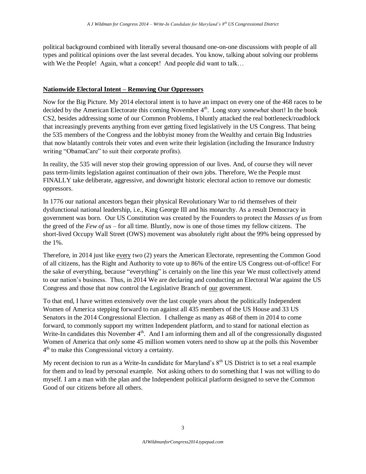political background combined with literally several thousand one-on-one discussions with people of all types and political opinions over the last several decades. You know, talking about solving our problems with We the People! Again, what a concept! And people did want to talk...

### **Nationwide Electoral Intent – Removing Our Oppressors**

Now for the Big Picture. My 2014 electoral intent is to have an impact on every one of the 468 races to be decided by the American Electorate this coming November 4<sup>th</sup>. Long story *somewhat* short! In the book CS2, besides addressing some of our Common Problems, I bluntly attacked the real bottleneck/roadblock that increasingly prevents anything from ever getting fixed legislatively in the US Congress. That being the 535 members of the Congress and the lobbyist money from the Wealthy and certain Big Industries that now blatantly controls their votes and even write their legislation (including the Insurance Industry writing "ObamaCare" to suit their corporate profits).

In reality, the 535 will never stop their growing oppression of our lives. And, of course they will never pass term-limits legislation against continuation of their own jobs. Therefore, We the People must FINALLY take deliberate, aggressive, and downright historic electoral action to remove our domestic oppressors.

In 1776 our national ancestors began their physical Revolutionary War to rid themselves of their dysfunctional national leadership, i.e., King George III and his monarchy. As a result Democracy in government was born. Our US Constitution was created by the Founders to protect the *Masses of us* from the greed of the *Few of us* – for all time. Bluntly, now is one of those times my fellow citizens. The short-lived Occupy Wall Street (OWS) movement was absolutely right about the 99% being oppressed by the 1%.

Therefore, in 2014 just like every two (2) years the American Electorate, representing the Common Good of all citizens, has the Right and Authority to vote up to 86% of the entire US Congress out-of-office! For the sake of everything, because "everything" is certainly on the line this year We must collectively attend to our nation's business. Thus, in 2014 We are declaring and conducting an Electoral War against the US Congress and those that now control the Legislative Branch of our government.

To that end, I have written extensively over the last couple years about the politically Independent Women of America stepping forward to run against all 435 members of the US House and 33 US Senators in the 2014 Congressional Election. I challenge as many as 468 of them in 2014 to come forward, to commonly support my written Independent platform, and to stand for national election as Write-In candidates this November  $4<sup>th</sup>$ . And I am informing them and all of the congressionally disgusted Women of America that *only* some 45 million women voters need to show up at the polls this November 4<sup>th</sup> to make this Congressional victory a certainty.

My recent decision to run as a Write-In candidate for Maryland's  $8<sup>th</sup>$  US District is to set a real example for them and to lead by personal example. Not asking others to do something that I was not willing to do myself. I am a man with the plan and the Independent political platform designed to serve the Common Good of our citizens before all others.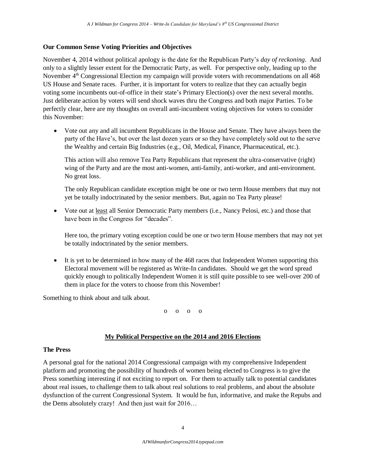### **Our Common Sense Voting Priorities and Objectives**

November 4, 2014 without political apology is the date for the Republican Party's *day of reckoning*. And only to a slightly lesser extent for the Democratic Party, as well. For perspective only, leading up to the November 4<sup>th</sup> Congressional Election my campaign will provide voters with recommendations on all 468 US House and Senate races. Further, it is important for voters to realize that they can actually begin voting some incumbents out-of-office in their state's Primary Election(s) over the next several months. Just deliberate action by voters will send shock waves thru the Congress and both major Parties. To be perfectly clear, here are my thoughts on overall anti-incumbent voting objectives for voters to consider this November:

 Vote out any and all incumbent Republicans in the House and Senate. They have always been the party of the Have's, but over the last dozen years or so they have completely sold out to the serve the Wealthy and certain Big Industries (e.g., Oil, Medical, Finance, Pharmaceutical, etc.).

This action will also remove Tea Party Republicans that represent the ultra-conservative (right) wing of the Party and are the most anti-women, anti-family, anti-worker, and anti-environment. No great loss.

The only Republican candidate exception might be one or two term House members that may not yet be totally indoctrinated by the senior members. But, again no Tea Party please!

 Vote out at least all Senior Democratic Party members (i.e., Nancy Pelosi, etc.) and those that have been in the Congress for "decades".

Here too, the primary voting exception could be one or two term House members that may not yet be totally indoctrinated by the senior members.

• It is yet to be determined in how many of the 468 races that Independent Women supporting this Electoral movement will be registered as Write-In candidates. Should we get the word spread quickly enough to politically Independent Women it is still quite possible to see well-over 200 of them in place for the voters to choose from this November!

Something to think about and talk about.

o o o o

#### **My Political Perspective on the 2014 and 2016 Elections**

#### **The Press**

A personal goal for the national 2014 Congressional campaign with my comprehensive Independent platform and promoting the possibility of hundreds of women being elected to Congress is to give the Press something interesting if not exciting to report on. For them to actually talk to potential candidates about real issues, to challenge them to talk about real solutions to real problems, and about the absolute dysfunction of the current Congressional System. It would be fun, informative, and make the Repubs and the Dems absolutely crazy! And then just wait for 2016…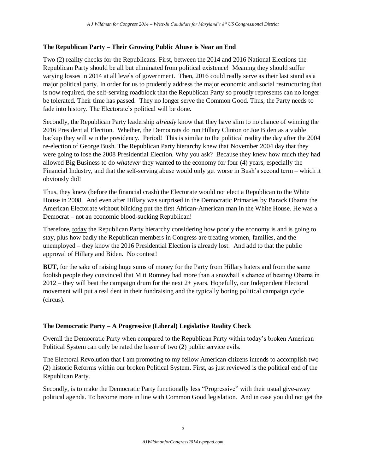### **The Republican Party – Their Growing Public Abuse is Near an End**

Two (2) reality checks for the Republicans. First, between the 2014 and 2016 National Elections the Republican Party should be all but eliminated from political existence! Meaning they should suffer varying losses in 2014 at all levels of government. Then, 2016 could really serve as their last stand as a major political party. In order for us to prudently address the major economic and social restructuring that is now required, the self-serving roadblock that the Republican Party so proudly represents can no longer be tolerated. Their time has passed. They no longer serve the Common Good. Thus, the Party needs to fade into history. The Electorate's political will be done.

Secondly, the Republican Party leadership *already* know that they have slim to no chance of winning the 2016 Presidential Election. Whether, the Democrats do run Hillary Clinton or Joe Biden as a viable backup they will win the presidency. Period! This is similar to the political reality the day after the 2004 re-election of George Bush. The Republican Party hierarchy knew that November 2004 day that they were going to lose the 2008 Presidential Election. Why you ask? Because they knew how much they had allowed Big Business to do *whatever* they wanted to the economy for four (4) years, especially the Financial Industry, and that the self-serving abuse would only get worse in Bush's second term – which it obviously did!

Thus, they knew (before the financial crash) the Electorate would not elect a Republican to the White House in 2008. And even after Hillary was surprised in the Democratic Primaries by Barack Obama the American Electorate without blinking put the first African-American man in the White House. He was a Democrat – not an economic blood-sucking Republican!

Therefore, today the Republican Party hierarchy considering how poorly the economy is and is going to stay, plus how badly the Republican members in Congress are treating women, families, and the unemployed – they know the 2016 Presidential Election is already lost. And add to that the public approval of Hillary and Biden. No contest!

**BUT**, for the sake of raising huge sums of money for the Party from Hillary haters and from the same foolish people they convinced that Mitt Romney had more than a snowball's chance of beating Obama in 2012 – they will beat the campaign drum for the next 2+ years. Hopefully, our Independent Electoral movement will put a real dent in their fundraising and the typically boring political campaign cycle (circus).

## **The Democratic Party – A Progressive (Liberal) Legislative Reality Check**

Overall the Democratic Party when compared to the Republican Party within today's broken American Political System can only be rated the lesser of two (2) public service evils.

The Electoral Revolution that I am promoting to my fellow American citizens intends to accomplish two (2) historic Reforms within our broken Political System. First, as just reviewed is the political end of the Republican Party.

Secondly, is to make the Democratic Party functionally less "Progressive" with their usual give-away political agenda. To become more in line with Common Good legislation. And in case you did not get the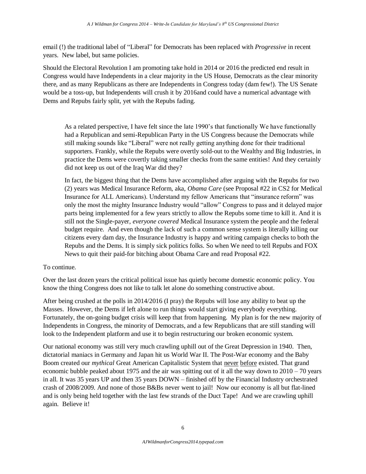email (!) the traditional label of "Liberal" for Democrats has been replaced with *Progressive* in recent years. New label, but same policies.

Should the Electoral Revolution I am promoting take hold in 2014 or 2016 the predicted end result in Congress would have Independents in a clear majority in the US House, Democrats as the clear minority there, and as many Republicans as there are Independents in Congress today (dam few!). The US Senate would be a toss-up, but Independents will crush it by 2016and could have a numerical advantage with Dems and Repubs fairly split, yet with the Repubs fading.

As a related perspective, I have felt since the late 1990's that functionally We have functionally had a Republican and semi-Republican Party in the US Congress because the Democrats while still making sounds like "Liberal" were not really getting anything done for their traditional supporters. Frankly, while the Repubs were overtly sold-out to the Wealthy and Big Industries, in practice the Dems were covertly taking smaller checks from the same entities! And they certainly did not keep us out of the Iraq War did they?

In fact, the biggest thing that the Dems have accomplished after arguing with the Repubs for two (2) years was Medical Insurance Reform, aka, *Obama Care* (see Proposal #22 in CS2 for Medical Insurance for ALL Americans). Understand my fellow Americans that "insurance reform" was only the most the mighty Insurance Industry would "allow" Congress to pass and it delayed major parts being implemented for a few years strictly to allow the Repubs some time to kill it. And it is still not the Single-payer, *everyone covered* Medical Insurance system the people and the federal budget require. And even though the lack of such a common sense system is literally killing our citizens every dam day, the Insurance Industry is happy and writing campaign checks to both the Repubs and the Dems. It is simply sick politics folks. So when We need to tell Repubs and FOX News to quit their paid-for bitching about Obama Care and read Proposal #22.

## To continue.

Over the last dozen years the critical political issue has quietly become domestic economic policy. You know the thing Congress does not like to talk let alone do something constructive about.

After being crushed at the polls in 2014/2016 (I pray) the Repubs will lose any ability to beat up the Masses. However, the Dems if left alone to run things would start giving everybody everything. Fortunately, the on-going budget crisis will keep that from happening. My plan is for the new majority of Independents in Congress, the minority of Democrats, and a few Republicans that are still standing will look to the Independent platform and use it to begin restructuring our broken economic system.

Our national economy was still very much crawling uphill out of the Great Depression in 1940. Then, dictatorial maniacs in Germany and Japan hit us World War II. The Post-War economy and the Baby Boom created our *mythical* Great American Capitalistic System that never before existed. That grand economic bubble peaked about 1975 and the air was spitting out of it all the way down to  $2010 - 70$  years in all. It was 35 years UP and then 35 years DOWN – finished off by the Financial Industry orchestrated crash of 2008/2009. And none of those B&Bs never went to jail! Now our economy is all but flat-lined and is only being held together with the last few strands of the Duct Tape! And we are crawling uphill again. Believe it!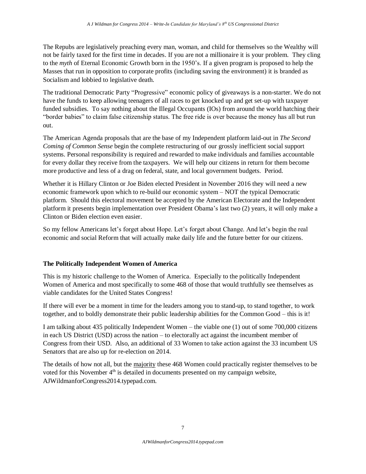The Repubs are legislatively preaching every man, woman, and child for themselves so the Wealthy will not be fairly taxed for the first time in decades. If you are not a millionaire it is your problem. They cling to the *myth* of Eternal Economic Growth born in the 1950's. If a given program is proposed to help the Masses that run in opposition to corporate profits (including saving the environment) it is branded as Socialism and lobbied to legislative death.

The traditional Democratic Party "Progressive" economic policy of giveaways is a non-starter. We do not have the funds to keep allowing teenagers of all races to get knocked up and get set-up with taxpayer funded subsidies. To say nothing about the Illegal Occupants (IOs) from around the world hatching their "border babies" to claim false citizenship status. The free ride is over because the money has all but run out.

The American Agenda proposals that are the base of my Independent platform laid-out in *The Second Coming of Common Sense* begin the complete restructuring of our grossly inefficient social support systems. Personal responsibility is required and rewarded to make individuals and families accountable for every dollar they receive from the taxpayers. We will help our citizens in return for them become more productive and less of a drag on federal, state, and local government budgets. Period.

Whether it is Hillary Clinton or Joe Biden elected President in November 2016 they will need a new economic framework upon which to re-build our economic system – NOT the typical Democratic platform. Should this electoral movement be accepted by the American Electorate and the Independent platform it presents begin implementation over President Obama's last two (2) years, it will only make a Clinton or Biden election even easier.

So my fellow Americans let's forget about Hope. Let's forget about Change. And let's begin the real economic and social Reform that will actually make daily life and the future better for our citizens.

## **The Politically Independent Women of America**

This is my historic challenge to the Women of America. Especially to the politically Independent Women of America and most specifically to some 468 of those that would truthfully see themselves as viable candidates for the United States Congress!

If there will ever be a moment in time for the leaders among you to stand-up, to stand together, to work together, and to boldly demonstrate their public leadership abilities for the Common Good – this is it!

I am talking about 435 politically Independent Women – the viable one (1) out of some 700,000 citizens in each US District (USD) across the nation – to electorally act against the incumbent member of Congress from their USD. Also, an additional of 33 Women to take action against the 33 incumbent US Senators that are also up for re-election on 2014.

The details of how not all, but the majority these 468 Women could practically register themselves to be voted for this November  $4<sup>th</sup>$  is detailed in documents presented on my campaign website, AJWildmanforCongress2014.typepad.com.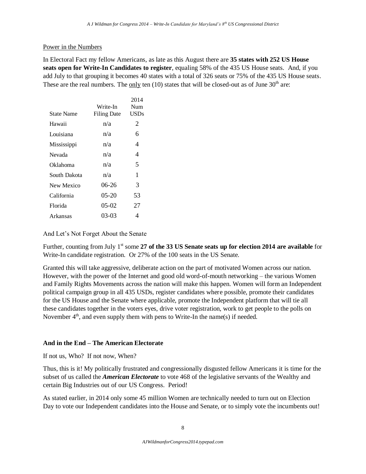#### Power in the Numbers

In Electoral Fact my fellow Americans, as late as this August there are **35 states with 252 US House seats open for Write-In Candidates to register**, equaling 58% of the 435 US House seats. And, if you add July to that grouping it becomes 40 states with a total of 326 seats or 75% of the 435 US House seats. These are the real numbers. The only ten  $(10)$  states that will be closed-out as of June  $30<sup>th</sup>$  are:

| State Name   | Write-In<br><b>Filing Date</b> | 2014<br>Num<br><b>USDs</b> |
|--------------|--------------------------------|----------------------------|
| Hawaii       | n/a                            | 2                          |
| Louisiana    | n/a                            | 6                          |
| Mississippi  | n/a                            | 4                          |
| Nevada       | n/a                            | 4                          |
| Oklahoma     | n/a                            | 5                          |
| South Dakota | n/a                            | 1                          |
| New Mexico   | 06-26                          | 3                          |
| California   | $05-20$                        | 53                         |
| Florida      | $05-02$                        | 27                         |
| Arkansas     | 03-03                          | 4                          |

And Let's Not Forget About the Senate

Further, counting from July 1<sup>st</sup> some 27 of the 33 US Senate seats up for election 2014 are available for Write-In candidate registration. Or 27% of the 100 seats in the US Senate.

Granted this will take aggressive, deliberate action on the part of motivated Women across our nation. However, with the power of the Internet and good old word-of-mouth networking – the various Women and Family Rights Movements across the nation will make this happen. Women will form an Independent political campaign group in all 435 USDs, register candidates where possible, promote their candidates for the US House and the Senate where applicable, promote the Independent platform that will tie all these candidates together in the voters eyes, drive voter registration, work to get people to the polls on November  $4<sup>th</sup>$ , and even supply them with pens to Write-In the name(s) if needed.

### **And in the End – The American Electorate**

If not us, Who? If not now, When?

Thus, this is it! My politically frustrated and congressionally disgusted fellow Americans it is time for the subset of us called the *American Electorate* to vote 468 of the legislative servants of the Wealthy and certain Big Industries out of our US Congress. Period!

As stated earlier, in 2014 only some 45 million Women are technically needed to turn out on Election Day to vote our Independent candidates into the House and Senate, or to simply vote the incumbents out!